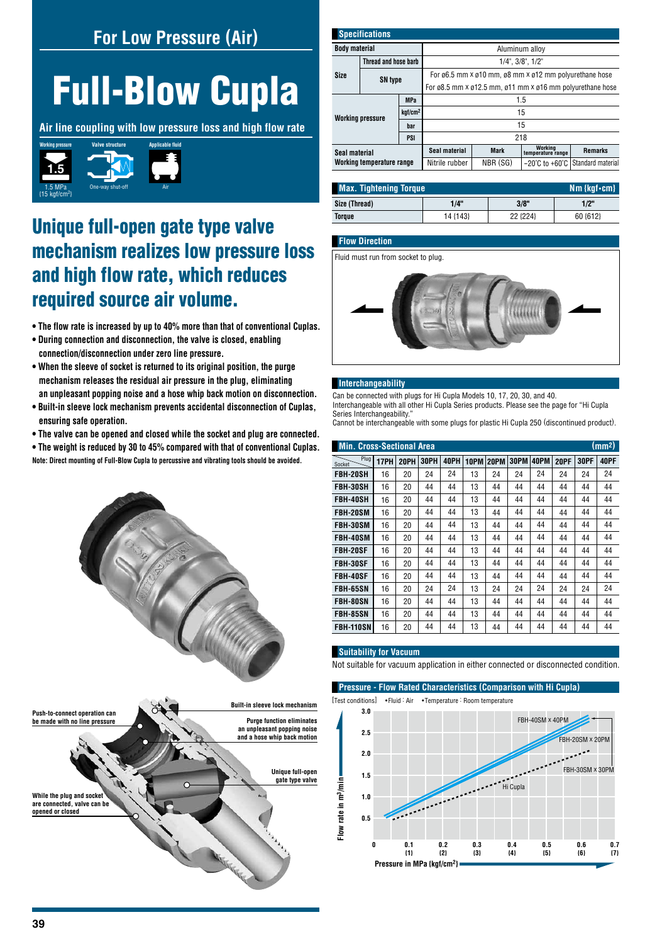# **For Low Pressure (Air)**

# Full-Blow Cupla

**Air line coupling with low pressure loss and high flow rate**



# Unique full-open gate type valve mechanism realizes low pressure loss and high flow rate, which reduces required source air volume.

- **The flow rate is increased by up to 40% more than that of conventional Cuplas.**
- **During connection and disconnection, the valve is closed, enabling connection/disconnection under zero line pressure.**
- **When the sleeve of socket is returned to its original position, the purge mechanism releases the residual air pressure in the plug, eliminating an unpleasant popping noise and a hose whip back motion on disconnection.**
- **Built-in sleeve lock mechanism prevents accidental disconnection of Cuplas, ensuring safe operation.**
- **The valve can be opened and closed while the socket and plug are connected.**

**• The weight is reduced by 30 to 45% compared with that of conventional Cuplas. Note: Direct mounting of Full-Blow Cupla to percussive and vibrating tools should be avoided.**



| <b>Specifications</b>                                                      |                      |                |                                                                                           |                                    |                              |                |  |  |
|----------------------------------------------------------------------------|----------------------|----------------|-------------------------------------------------------------------------------------------|------------------------------------|------------------------------|----------------|--|--|
| <b>Body material</b>                                                       |                      |                | Aluminum alloy                                                                            |                                    |                              |                |  |  |
|                                                                            | Thread and hose barb |                | $1/4$ ", $3/8$ ", $1/2$ "                                                                 |                                    |                              |                |  |  |
| Size                                                                       | <b>SN type</b>       |                | For ø6.5 mm x ø10 mm, ø8 mm x ø12 mm polyurethane hose                                    |                                    |                              |                |  |  |
|                                                                            |                      |                | For $\alpha$ 8.5 mm x $\alpha$ 12.5 mm, $\alpha$ 11 mm x $\alpha$ 16 mm polyurethane hose |                                    |                              |                |  |  |
| <b>MPa</b><br>kgf/cm <sup>2</sup><br><b>Working pressure</b><br>bar<br>PSI |                      | 1.5            |                                                                                           |                                    |                              |                |  |  |
|                                                                            |                      | 15             |                                                                                           |                                    |                              |                |  |  |
|                                                                            |                      |                | 15                                                                                        |                                    |                              |                |  |  |
|                                                                            |                      |                | 218                                                                                       |                                    |                              |                |  |  |
| Seal material                                                              |                      |                | Seal material                                                                             | <b>Mark</b>                        | Working<br>temperature range | <b>Remarks</b> |  |  |
| Working temperature range                                                  |                      | Nitrile rubber | NBR (SG)                                                                                  | $-20^{\circ}$ C to $+60^{\circ}$ C | Standard material            |                |  |  |
|                                                                            |                      |                |                                                                                           |                                    |                              |                |  |  |

| <b>Max. Tightening Torque</b><br>$Nm$ {kgf $\cdot$ cm} |          |          |          |  |  |  |  |
|--------------------------------------------------------|----------|----------|----------|--|--|--|--|
| Size (Thread)                                          | 1/4"     | 3/8"     | 1/2"     |  |  |  |  |
| Torque                                                 | 14 {143} | 22 {224} | 60 {612} |  |  |  |  |

#### **Flow Direction**

Fluid must run from socket to plug.



#### **Interchangeability**

Can be connected with plugs for Hi Cupla Models 10, 17, 20, 30, and 40. Interchangeable with all other Hi Cupla Series products. Please see the page for "Hi Cupla Series Interchangeability.

Cannot be interchangeable with some plugs for plastic Hi Cupla 250 (discontinued product).

| (mm <sup>2</sup> )<br><b>Min. Cross-Sectional Area</b> |      |             |             |      |      |      |      |      |             |             |      |
|--------------------------------------------------------|------|-------------|-------------|------|------|------|------|------|-------------|-------------|------|
| Plug<br>Socket                                         | 17PH | <b>20PH</b> | <b>30PH</b> | 40PH | 10PM | 20PM | 30PM | 40PM | <b>20PF</b> | <b>30PF</b> | 40PF |
| FBH-20SH                                               | 16   | 20          | 24          | 24   | 13   | 24   | 24   | 24   | 24          | 24          | 24   |
| FBH-30SH                                               | 16   | 20          | 44          | 44   | 13   | 44   | 44   | 44   | 44          | 44          | 44   |
| FBH-40SH                                               | 16   | 20          | 44          | 44   | 13   | 44   | 44   | 44   | 44          | 44          | 44   |
| <b>FBH-20SM</b>                                        | 16   | 20          | 44          | 44   | 13   | 44   | 44   | 44   | 44          | 44          | 44   |
| <b>FBH-30SM</b>                                        | 16   | 20          | 44          | 44   | 13   | 44   | 44   | 44   | 44          | 44          | 44   |
| <b>FBH-40SM</b>                                        | 16   | 20          | 44          | 44   | 13   | 44   | 44   | 44   | 44          | 44          | 44   |
| <b>FBH-20SF</b>                                        | 16   | 20          | 44          | 44   | 13   | 44   | 44   | 44   | 44          | 44          | 44   |
| <b>FBH-30SF</b>                                        | 16   | 20          | 44          | 44   | 13   | 44   | 44   | 44   | 44          | 44          | 44   |
| <b>FBH-40SF</b>                                        | 16   | 20          | 44          | 44   | 13   | 44   | 44   | 44   | 44          | 44          | 44   |
| <b>FBH-65SN</b>                                        | 16   | 20          | 24          | 24   | 13   | 24   | 24   | 24   | 24          | 24          | 24   |
| <b>FBH-80SN</b>                                        | 16   | 20          | 44          | 44   | 13   | 44   | 44   | 44   | 44          | 44          | 44   |
| <b>FBH-85SN</b>                                        | 16   | 20          | 44          | 44   | 13   | 44   | 44   | 44   | 44          | 44          | 44   |
| FBH-110SN                                              | 16   | 20          | 44          | 44   | 13   | 44   | 44   | 44   | 44          | 44          | 44   |

#### **Suitability for Vacuum**

Not suitable for vacuum application in either connected or disconnected condition.

**Pressure - Flow Rated Characteristics (Comparison with Hi Cupla)** [Test conditions] •Fluid : Air •Temperature : Room temperature **3.0** FBH-40SM x 40PM **2.5 and a hose whip back motion** FBH-20SM x 20PM **2.0** FBH-30SM x 30PM **1.5** Flow rate in m<sup>3</sup>/min **Flow rate in m3/min** Hi Cupla **1.0 0.5 0 0.1 0.2 0.3 0.4 0.5 0.6 0.7 {3} {4} {5} {6} {7} {1} {2} Pressure in MPa {kgf/cm2}**